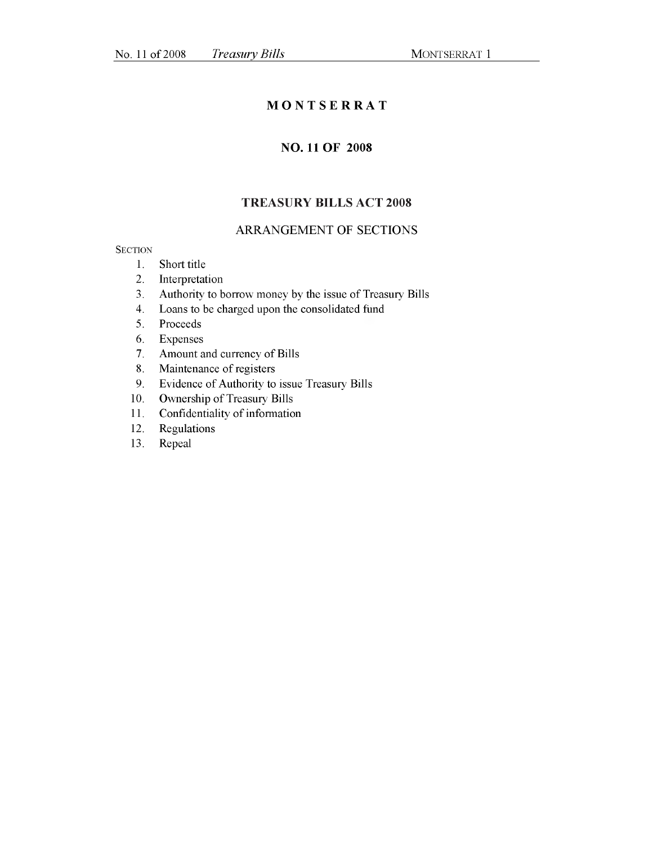## **M O N T S E R R A T**

### **NO. 11 OF 2008**

# **TREASURY BILLS ACT 2008**

# **ARRANGEMENT OF SECTIONS**

#### **SECTION**

- **1. Short title**
- **2. Interpretation**
- **3. Authority to borrow money by the issue of Treasury Bills**
- **4. Loans to be charged upon the consolidated fund**
- **5. Proceeds**
- **6. Expenses**
- **7. Amount and currency of Bills**
- **8. Maintenance of registers**
- **9. Evidence of Authority to issue Treasury Bills**
- **10. Ownership of Treasury Bills**
- **11. confidentiality of information**
- **12. Regulations**
- **13. Repeal**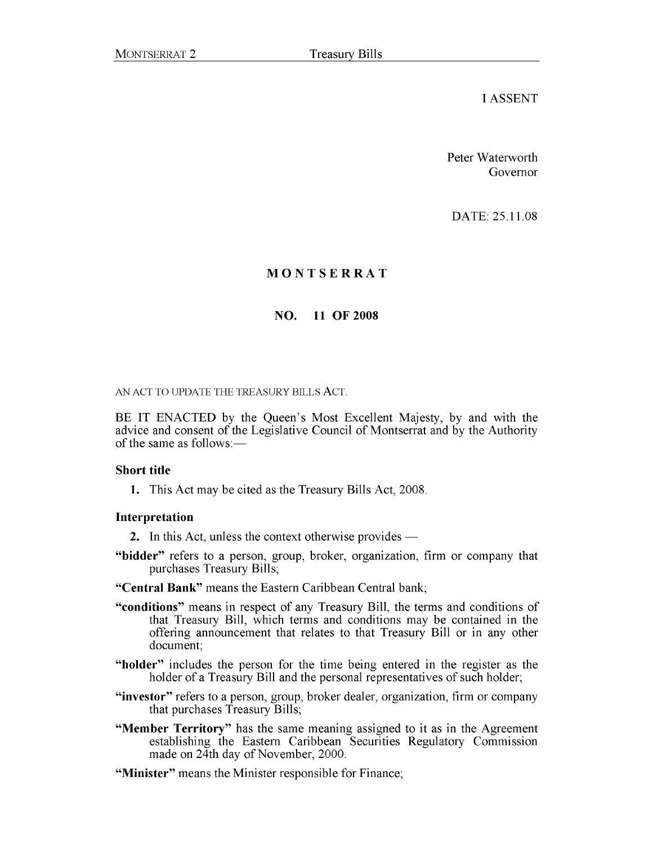**I ASSENT**

**Peter Waterworth Governor**

**DATE: 25.11.08**

# **M O N T S E R R A T**

## **NO. 11 OF 2008**

**AN ACT TO UPDATE THE TREASURY BILLS ACT.**

**BE IT ENACTED by the Queen's Most Excellent Majesty, by and with the advice and consent of the Legislative Council of Montserrat and by the Authority of the same as follows:—**

### **Short title**

**1. This Act may be cited as the Treasury Bills Act, 2008.**

### **Interpretation**

- **2. In this Act, unless the context otherwise provides —**
- **"bidder" refers to a person, group, broker, organization, firm or company that purchases Treasury Bills;**
- **"Central Bank" means the Eastern Caribbean Central bank;**
- **"conditions" means in respect of any Treasury Bill, the terms and conditions of that Treasury Bill, which terms and conditions may be contained in the offering announcement that relates to that Treasury Bill or in any other document;**
- **"holder" includes the person for the time being entered in the register as the holder of a Treasury Bill and the personal representatives of such holder;**
- **"investor" refers to a person, group, broker dealer, organization, firm or company that purchases Treasury Bills;**
- **"Member Territory" has the same meaning assigned to it as in the Agreement establishing the Eastern Caribbean Securities Regulatory Commission made on 24th day of November, 2000.**
- "Minister" means the Minister responsible for Finance;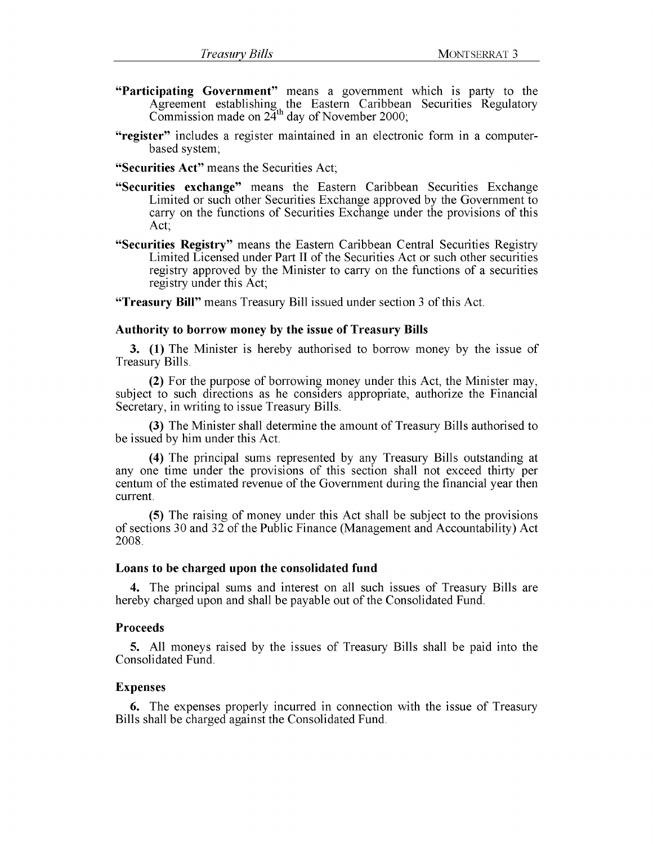- **"Participating Government" means a government which is party to the Agreement establishing the Eastern Caribbean Securities Regulatory Commission made on 24th day of November 2000;**
- **"register" includes a register maintained in an electronic form in a computerbased system;**

**"Securities Act" means the Securities Act;**

- **"Securities exchange" means the Eastern Caribbean Securities Exchange Limited or such other Securities Exchange approved by the Government to carry on the functions of Securities Exchange under the provisions of this Act;**
- **"Securities Registry" means the Eastern Caribbean Central Securities Registry Limited Licensed under Part II of the Securities Act or such other securities registry approved by the Minister to carry on the functions of a securities registry under this Act;**

**"Treasury Bill" means Treasury Bill issued under section 3 of this Act.**

#### **Authority to borrow money by the issue of Treasury Bills**

**3. (1) The Minister is hereby authorised to borrow money by the issue of Treasury Bills.**

**(2) For the purpose of borrowing money under this Act, the Minister may, subject to such directions as he considers appropriate, authorize the Financial Secretary, in writing to issue Treasury Bills.**

**(3) The Minister shall determine the amount of Treasury Bills authorised to be issued by him under this Act.**

**(4) The principal sums represented by any Treasury Bills outstanding at any one time under the provisions of this section shall not exceed thirty per centum of the estimated revenue of the Government during the financial year then current.**

**(5) The raising of money under this Act shall be subject to the provisions of sections 30 and 32 of the Public Finance (Management and Accountability) Act 2008.**

#### **Loans to be charged upon the consolidated fund**

**4. The principal sums and interest on all such issues of Treasury Bills are hereby charged upon and shall be payable out of the Consolidated Fund.**

#### **Proceeds**

**5. All moneys raised by the issues of Treasury Bills shall be paid into the Consolidated Fund.**

#### **Expenses**

**6. The expenses properly incurred in connection with the issue of Treasury Bills shall be charged against the Consolidated Fund.**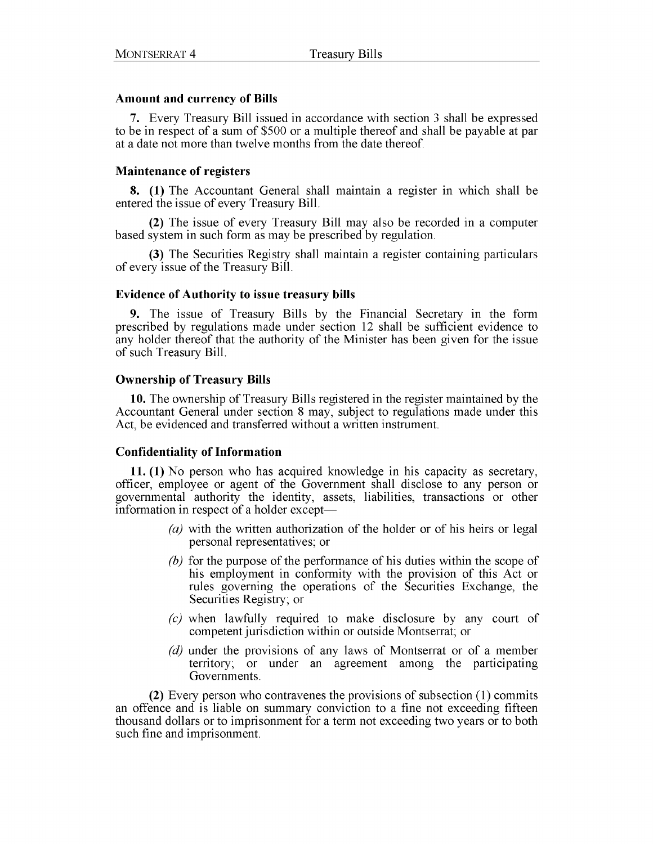### **Amount and currency of Bills**

**7. Every Treasury Bill issued in accordance with section 3 shall be expressed to be in respect of a sum of \$500 or a multiple thereof and shall be payable at par at a date not more than twelve months from the date thereof.**

### **M aintenance of registers**

**8. (1) The Accountant General shall maintain a register in which shall be entered the issue of every Treasury Bill.**

**(2) The issue of every Treasury Bill may also be recorded in a computer based system in such form as may be prescribed by regulation.**

**(3) The Securities Registry shall maintain a register containing particulars of every issue of the Treasury Bill.**

### **Evidence of Authority to issue treasury bills**

**9. The issue of Treasury Bills by the Financial Secretary in the form prescribed by regulations made under section 12 shall be sufficient evidence to any holder thereof that the authority of the Minister has been given for the issue of such Treasury Bill.**

### **Ownership of Treasury Bills**

**10. The ownership of Treasury Bills registered in the register maintained by the Accountant General under section 8 may, subject to regulations made under this Act, be evidenced and transferred without a written instrument.**

### **Confidentiality of Information**

**11. (1) No person who has acquired knowledge in his capacity as secretary, officer, employee or agent of the Government shall disclose to any person or governmental authority the identity, assets, liabilities, transactions or other information in respect of a holder except—**

- *(a)* **with the written authorization of the holder or of his heirs or legal personal representatives; or**
- *(b)* **for the purpose of the performance of his duties within the scope of his employment in conformity with the provision of this Act or rules governing the operations of the Securities Exchange, the Securities Registry; or**
- *(c)* **when lawfully required to make disclosure by any court of competent jurisdiction within or outside Montserrat; or**
- *(d)* **under the provisions of any laws of Montserrat or of a member territory; or under an agreement among the participating Governments.**

**(2) Every person who contravenes the provisions of subsection (1) commits an offence and is liable on summary conviction to a fine not exceeding fifteen thousand dollars or to imprisonment for a term not exceeding two years or to both such fine and imprisonment.**